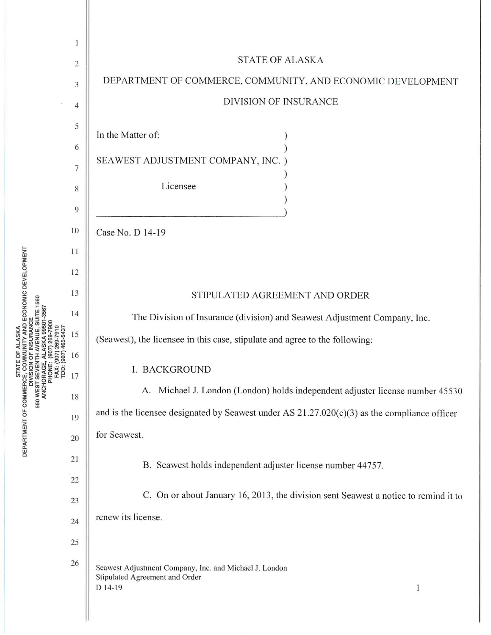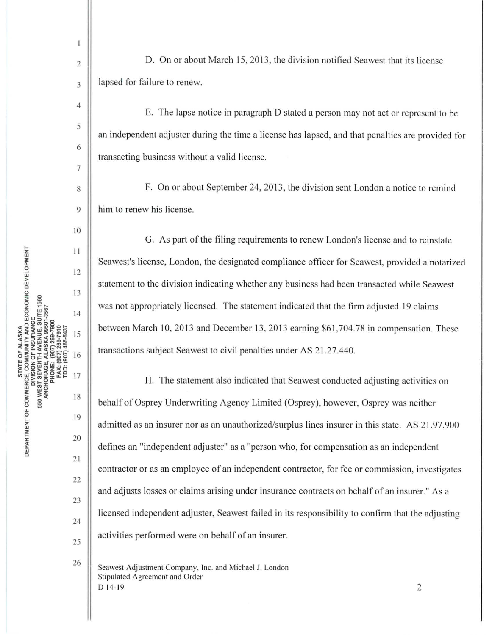10 STATE OF ALASKA<br>E, COMMUNITY AND ECONOMIC DEVELOPMENT 11 12 13 SUITE 1560 14 AVENUE, (907) 465-5437 15 NCHORAGE, ALASKA FAX: (907) 16 **SEVENTH PHONE:** rpp: 17 550 WEST 18 RTMENT OF 19 20 <sup>~</sup><sup>w</sup> 0 21

4

 $\mathbf{1}$ 

5

6

7

24

25

22

23

26

2  $\parallel$  D. On or about March 15, 2013, the division notified Seawest that its license  $3 \parallel$  lapsed for failure to renew.

E. The lapse notice in paragraph D stated a person may not act or represent to be an independent adjuster during the time a license has lapsed, and that penalties are provided for transacting business without a valid license.

8 F. On or about September 24, 2013, the division sent London a notice to remind 9 him to renew his license.

G. As part of the filing requirements to renew London's license and to reinstate Seawest's license, London, the designated compliance officer for Seawest, provided a notarized statement to the division indicating whether any business had been transacted while Seawest was not appropriately licensed. The statement indicated that the firm adjusted 19 claims between March 10, 2013 and December 13, 2013 earning \$61,704.78 in compensation. These transactions subject Seawest to civil penalties under AS 21.27.440.

H. The statement also indicated that Seawest conducted adjusting activities on behalf of Osprey Underwriting Agency Limited (Osprey), however, Osprey was neither admitted as an insurer nor as an unauthorized/surplus lines insurer in this state. AS 21.97.900 defines an "independent adjuster" as a "person who, for compensation as an independent contractor or as an employee of an independent contractor, for fee or commission, investigates and adjusts losses or claims arising under insurance contracts on behalf of an insurer." As a licensed independent adjuster, Seawest failed in its responsibility to confirm that the adjusting activities performed were on behalf of an insurer.

Seawest Adjustment Company, Inc. and Michael J. London Stipulated Agreement and Order  $D$  14-19 2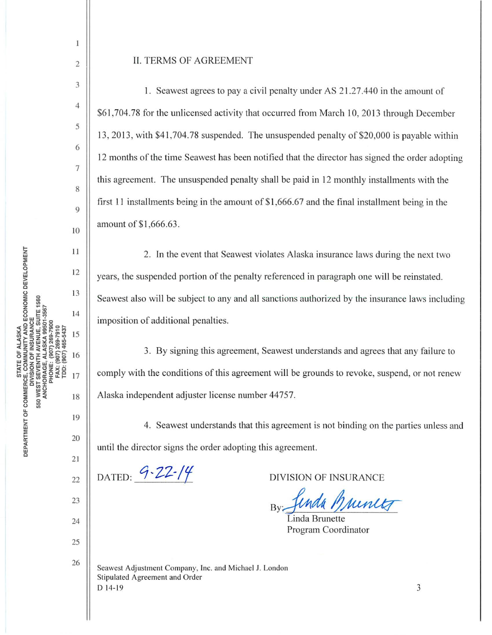2

 $\mathbf{I}$ 

3

4

5

6

7

8

9

10

11

12

13

14

15

16

17

18

19

20

21

22

23

24

25

26

## II. TERMS OF AGREEMENT

1. Seawest agrees to pay a civil penalty under AS 2 1.27.440 in the amount of \$61,704.78 for the unlicensed activity that occurred from March 10, 2013 through December 13, 2013, with \$41,704.78 suspended. The unsuspended penalty of \$20,000 is payable within 12 months of the time Seawest has been notified that the director has signed the order adopting this agreement. The unsuspended penalty shall be paid in 12 monthly installments with the first 11 installments being in the amount of  $$1,666.67$  and the final installment being in the amount of \$1,666.63.

2. In the event that Seawest violates Alaska insurance laws during the next two years, the suspended portion of the penalty referenced in paragraph one will be reinstated. Seawest also will be subject to any and all sanctions authorized by the insurance laws including imposition of additional penalties.

3. By signing this agreement, Seawest understands and agrees that any failure to comply with the conditions of this agreement will be grounds to revoke, suspend, or not renew Alaska independent adjuster license number 44757.

4. Seawest understands that this agreement is not binding on the parties unless and until the director signs the order adopting this agreement.

DATED: 9-22-14

DIVISION OF INSURANCE

nda Munitz

inda Brunette Program Coordinator

Seawest Adjustment Company, Inc. and Michael J. London Stipulated Agreement and Order  $D$  14-19  $3$